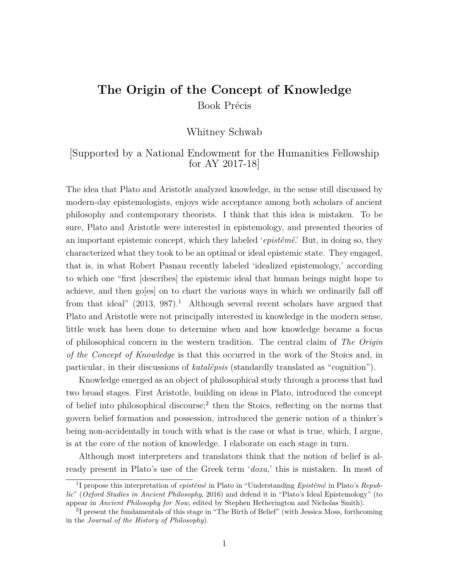## **The Origin of the Concept of Knowledge** Book Précis

## Whitney Schwab

## [Supported by a National Endowment for the Humanities Fellowship for AY 2017-18]

The idea that Plato and Aristotle analyzed knowledge, in the sense still discussed by modern-day epistemologists, enjoys wide acceptance among both scholars of ancient philosophy and contemporary theorists. I think that this idea is mistaken. To be sure, Plato and Aristotle were interested in epistemology, and presented theories of an important epistemic concept, which they labeled '*epistêmê*.' But, in doing so, they characterized what they took to be an optimal or ideal epistemic state. They engaged, that is, in what Robert Pasnau recently labeled 'idealized epistemology,' according to which one "first [describes] the epistemic ideal that human beings might hope to achieve, and then go[es] on to chart the various ways in which we ordinarily fall off from that ideal"  $(2013, 987)^{1}$ . Although several recent scholars have argued that Plato and Aristotle were not principally interested in knowledge in the modern sense, little work has been done to determine when and how knowledge became a focus of philosophical concern in the western tradition. The central claim of *The Origin of the Concept of Knowledge* is that this occurred in the work of the Stoics and, in particular, in their discussions of *katalêpsis* (standardly translated as "cognition").

Knowledge emerged as an object of philosophical study through a process that had two broad stages. First Aristotle, building on ideas in Plato, introduced the concept of belief into philosophical discourse;<sup>2</sup> then the Stoics, reflecting on the norms that govern belief formation and possession, introduced the generic notion of a thinker's being non-accidentally in touch with what is the case or what is true, which, I argue, is at the core of the notion of knowledge. I elaborate on each stage in turn.

Although most interpreters and translators think that the notion of belief is already present in Plato's use of the Greek term '*doxa*,' this is mistaken. In most of

<sup>1</sup> I propose this interpretation of *epistêmê* in Plato in "Understanding *Epistêmê* in Plato's *Republic*" (*Oxford Studies in Ancient Philosophy*, 2016) and defend it in "Plato's Ideal Epistemology" (to appear in *Ancient Philosophy for Now*, edited by Stephen Hetherington and Nicholas Smith).

<sup>&</sup>lt;sup>2</sup>I present the fundamentals of this stage in "The Birth of Belief" (with Jessica Moss, forthcoming in the *Journal of the History of Philosophy*).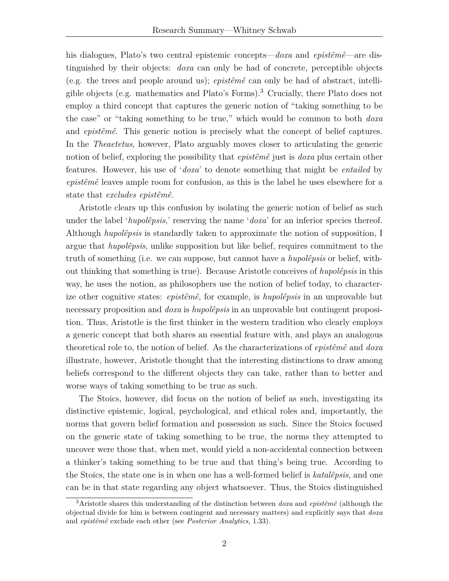his dialogues, Plato's two central epistemic concepts—*doxa* and *epistêmê*—are distinguished by their objects: *doxa* can only be had of concrete, perceptible objects (e.g. the trees and people around us); *epistêmê* can only be had of abstract, intelligible objects (e.g. mathematics and Plato's Forms).<sup>3</sup> Crucially, there Plato does not employ a third concept that captures the generic notion of "taking something to be the case" or "taking something to be true," which would be common to both *doxa* and *epistêmê*. This generic notion is precisely what the concept of belief captures. In the *Theaetetus*, however, Plato arguably moves closer to articulating the generic notion of belief, exploring the possibility that *epistêmê* just is *doxa* plus certain other features. However, his use of '*doxa*' to denote something that might be *entailed* by *epistêmê* leaves ample room for confusion, as this is the label he uses elsewhere for a state that *excludes epistêmê*.

Aristotle clears up this confusion by isolating the generic notion of belief as such under the label '*hupolêpsis*,' reserving the name '*doxa*' for an inferior species thereof. Although *hupolêpsis* is standardly taken to approximate the notion of supposition, I argue that *hupolêpsis*, unlike supposition but like belief, requires commitment to the truth of something (i.e. we can suppose, but cannot have a *hupolêpsis* or belief, without thinking that something is true). Because Aristotle conceives of *hupolêpsis* in this way, he uses the notion, as philosophers use the notion of belief today, to characterize other cognitive states: *epistêmê*, for example, is *hupolêpsis* in an unprovable but necessary proposition and *doxa* is *hupolêpsis* in an unprovable but contingent proposition. Thus, Aristotle is the first thinker in the western tradition who clearly employs a generic concept that both shares an essential feature with, and plays an analogous theoretical role to, the notion of belief. As the characterizations of *epistêmê* and *doxa* illustrate, however, Aristotle thought that the interesting distinctions to draw among beliefs correspond to the different objects they can take, rather than to better and worse ways of taking something to be true as such.

The Stoics, however, did focus on the notion of belief as such, investigating its distinctive epistemic, logical, psychological, and ethical roles and, importantly, the norms that govern belief formation and possession as such. Since the Stoics focused on the generic state of taking something to be true, the norms they attempted to uncover were those that, when met, would yield a non-accidental connection between a thinker's taking something to be true and that thing's being true. According to the Stoics, the state one is in when one has a well-formed belief is *katalêpsis*, and one can be in that state regarding any object whatsoever. Thus, the Stoics distinguished

<sup>3</sup>Aristotle shares this understanding of the distinction between *doxa* and *epistêmê* (although the objectual divide for him is between contingent and necessary matters) and explicitly says that *doxa* and *epistêmê* exclude each other (see *Posterior Analytics*, 1.33).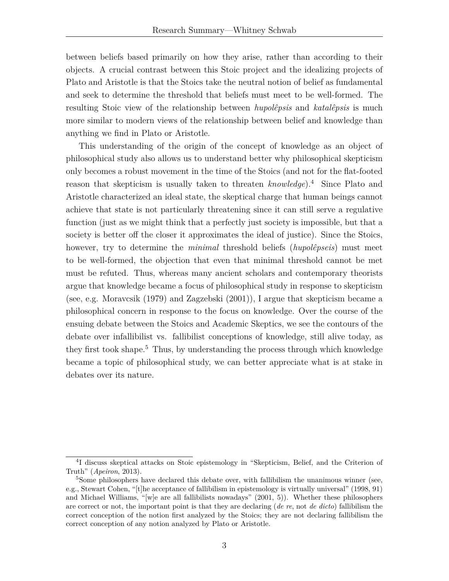between beliefs based primarily on how they arise, rather than according to their objects. A crucial contrast between this Stoic project and the idealizing projects of Plato and Aristotle is that the Stoics take the neutral notion of belief as fundamental and seek to determine the threshold that beliefs must meet to be well-formed. The resulting Stoic view of the relationship between *hupolêpsis* and *katalêpsis* is much more similar to modern views of the relationship between belief and knowledge than anything we find in Plato or Aristotle.

This understanding of the origin of the concept of knowledge as an object of philosophical study also allows us to understand better why philosophical skepticism only becomes a robust movement in the time of the Stoics (and not for the flat-footed reason that skepticism is usually taken to threaten *knowledge*).<sup>4</sup> Since Plato and Aristotle characterized an ideal state, the skeptical charge that human beings cannot achieve that state is not particularly threatening since it can still serve a regulative function (just as we might think that a perfectly just society is impossible, but that a society is better off the closer it approximates the ideal of justice). Since the Stoics, however, try to determine the *minimal* threshold beliefs (*hupolêpseis*) must meet to be well-formed, the objection that even that minimal threshold cannot be met must be refuted. Thus, whereas many ancient scholars and contemporary theorists argue that knowledge became a focus of philosophical study in response to skepticism (see, e.g. Moravcsik (1979) and Zagzebski (2001)), I argue that skepticism became a philosophical concern in response to the focus on knowledge. Over the course of the ensuing debate between the Stoics and Academic Skeptics, we see the contours of the debate over infallibilist vs. fallibilist conceptions of knowledge, still alive today, as they first took shape.<sup>5</sup> Thus, by understanding the process through which knowledge became a topic of philosophical study, we can better appreciate what is at stake in debates over its nature.

<sup>&</sup>lt;sup>4</sup>I discuss skeptical attacks on Stoic epistemology in "Skepticism, Belief, and the Criterion of Truth" (*Apeiron*, 2013).

<sup>&</sup>lt;sup>5</sup>Some philosophers have declared this debate over, with fallibilism the unanimous winner (see, e.g., Stewart Cohen, "[t]he acceptance of fallibilism in epistemology is virtually universal" (1998, 91) and Michael Williams, "[w]e are all fallibilists nowadays" (2001, 5)). Whether these philosophers are correct or not, the important point is that they are declaring (*de re*, not *de dicto*) fallibilism the correct conception of the notion first analyzed by the Stoics; they are not declaring fallibilism the correct conception of any notion analyzed by Plato or Aristotle.